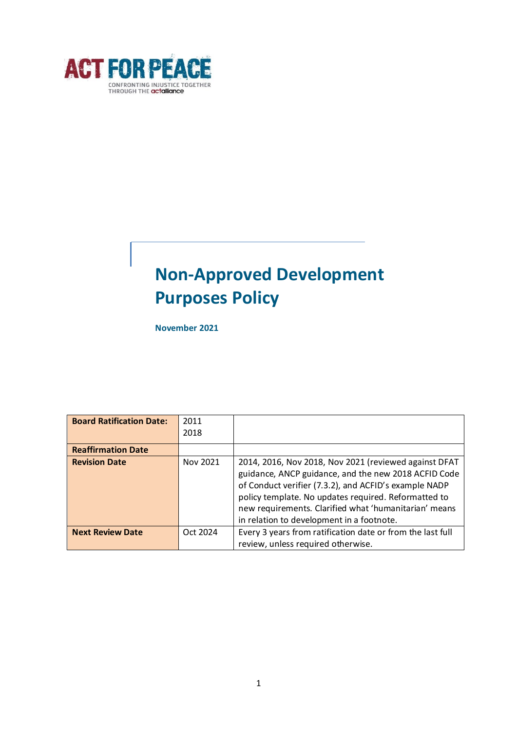

# **Non-Approved Development Purposes Policy**

**November 2021**

| <b>Board Ratification Date:</b> | 2011<br>2018 |                                                                                                                                                                                                                                                                                                                                      |
|---------------------------------|--------------|--------------------------------------------------------------------------------------------------------------------------------------------------------------------------------------------------------------------------------------------------------------------------------------------------------------------------------------|
| <b>Reaffirmation Date</b>       |              |                                                                                                                                                                                                                                                                                                                                      |
| <b>Revision Date</b>            | Nov 2021     | 2014, 2016, Nov 2018, Nov 2021 (reviewed against DFAT<br>guidance, ANCP guidance, and the new 2018 ACFID Code<br>of Conduct verifier (7.3.2), and ACFID's example NADP<br>policy template. No updates required. Reformatted to<br>new requirements. Clarified what 'humanitarian' means<br>in relation to development in a footnote. |
| <b>Next Review Date</b>         | Oct 2024     | Every 3 years from ratification date or from the last full<br>review, unless required otherwise.                                                                                                                                                                                                                                     |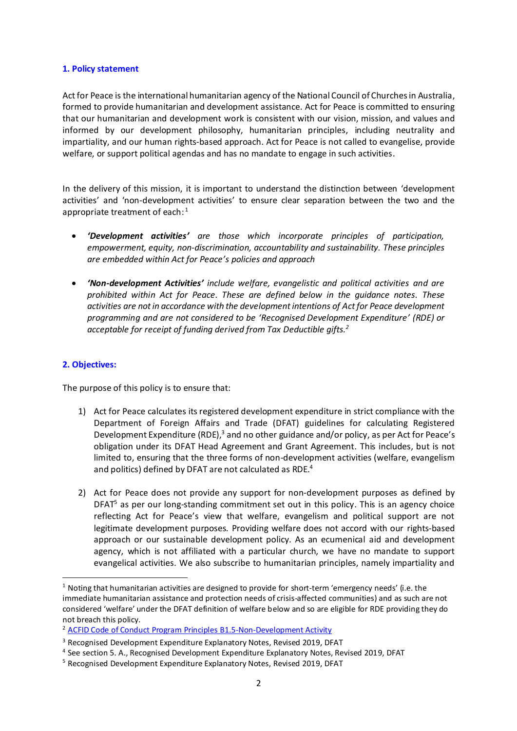#### **1. Policy statement**

Act for Peace is the international humanitarian agency of the National Council of Churches in Australia, formed to provide humanitarian and development assistance. Act for Peace is committed to ensuring that our humanitarian and development work is consistent with our vision, mission, and values and informed by our development philosophy, humanitarian principles, including neutrality and impartiality, and our human rights-based approach. Act for Peace is not called to evangelise, provide welfare, or support political agendas and has no mandate to engage in such activities.

In the delivery of this mission, it is important to understand the distinction between 'development activities' and 'non-development activities' to ensure clear separation between the two and the appropriate treatment of each:<sup>1</sup>

- *'Development activities' are those which incorporate principles of participation, empowerment, equity, non-discrimination, accountability and sustainability. These principles are embedded within Act for Peace's policies and approach*
- *'Non-development Activities' include welfare, evangelistic and political activities and are prohibited within Act for Peace. These are defined below in the guidance notes. These activities are not in accordance with the development intentions of Act for Peace development programming and are not considered to be 'Recognised Development Expenditure' (RDE) or acceptable for receipt of funding derived from Tax Deductible gifts.<sup>2</sup>*

### **2. Objectives:**

The purpose of this policy is to ensure that:

- 1) Act for Peace calculates its registered development expenditure in strict compliance with the Department of Foreign Affairs and Trade (DFAT) guidelines for calculating Registered Development Expenditure (RDE),<sup>3</sup> and no other guidance and/or policy, as per Act for Peace's obligation under its DFAT Head Agreement and Grant Agreement. This includes, but is not limited to, ensuring that the three forms of non-development activities (welfare, evangelism and politics) defined by DFAT are not calculated as RDE.<sup>4</sup>
- 2) Act for Peace does not provide any support for non-development purposes as defined by DFAT<sup>5</sup> as per our long-standing commitment set out in this policy. This is an agency choice reflecting Act for Peace's view that welfare, evangelism and political support are not legitimate development purposes. Providing welfare does not accord with our rights-based approach or our sustainable development policy. As an ecumenical aid and development agency, which is not affiliated with a particular church, we have no mandate to support evangelical activities. We also subscribe to humanitarian principles, namely impartiality and

 $1$  Noting that humanitarian activities are designed to provide for short-term 'emergency needs' (i.e. the immediate humanitarian assistance and protection needs of crisis-affected communities) and as such are not considered 'welfare' under the DFAT definition of welfare below and so are eligible for RDE providing they do not breach this policy.

<sup>&</sup>lt;sup>2</sup> [ACFID Code of Conduct Program Principles B1.5-Non-Development Activity](https://acfid.asn.au/content/b15-non-development-activity)

<sup>&</sup>lt;sup>3</sup> Recognised Development Expenditure Explanatory Notes, Revised 2019, DFAT

<sup>&</sup>lt;sup>4</sup> See section 5. A., Recognised Development Expenditure Explanatory Notes, Revised 2019, DFAT

<sup>5</sup> Recognised Development Expenditure Explanatory Notes, Revised 2019, DFAT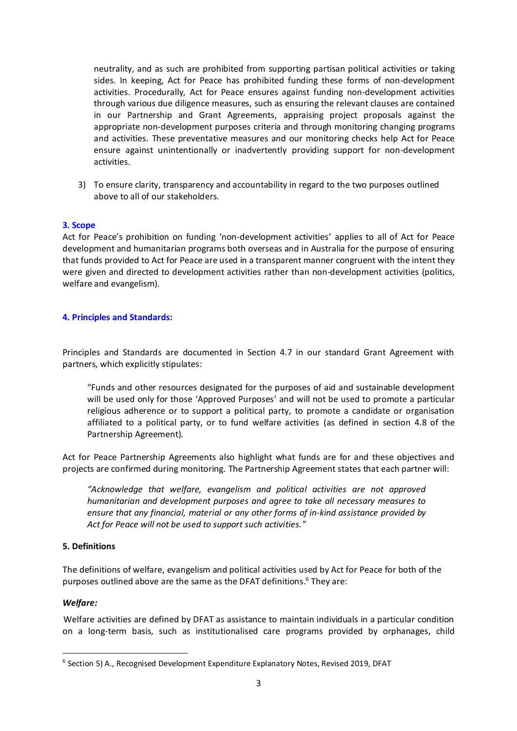neutrality, and as such are prohibited from supporting partisan political activities or taking sides. In keeping, Act for Peace has prohibited funding these forms of non-development activities. Procedurally, Act for Peace ensures against funding non-development activities through various due diligence measures, such as ensuring the relevant clauses are contained in our Partnership and Grant Agreements, appraising project proposals against the appropriate non-development purposes criteria and through monitoring changing programs and activities. These preventative measures and our monitoring checks help Act for Peace ensure against unintentionally or inadvertently providing support for non-development activities.

3) To ensure clarity, transparency and accountability in regard to the two purposes outlined above to all of our stakeholders.

### **3. Scope**

Act for Peace's prohibition on funding 'non-development activities' applies to all of Act for Peace development and humanitarian programs both overseas and in Australia for the purpose of ensuring that funds provided to Act for Peace are used in a transparent manner congruent with the intent they were given and directed to development activities rather than non-development activities (politics, welfare and evangelism).

#### **4. Principles and Standards:**

Principles and Standards are documented in Section 4.7 in our standard Grant Agreement with partners, which explicitly stipulates:

"Funds and other resources designated for the purposes of aid and sustainable development will be used only for those 'Approved Purposes' and will not be used to promote a particular religious adherence or to support a political party, to promote a candidate or organisation affiliated to a political party, or to fund welfare activities (as defined in section 4.8 of the Partnership Agreement).

Act for Peace Partnership Agreements also highlight what funds are for and these objectives and projects are confirmed during monitoring. The Partnership Agreement states that each partner will:

*"Acknowledge that welfare, evangelism and political activities are not approved humanitarian and development purposes and agree to take all necessary measures to ensure that any financial, material or any other forms of in-kind assistance provided by Act for Peace will not be used to support such activities."* 

#### **5. Definitions**

The definitions of welfare, evangelism and political activities used by Act for Peace for both of the purposes outlined above are the same as the DFAT definitions. <sup>6</sup> They are:

#### *Welfare:*

Welfare activities are defined by DFAT as assistance to maintain individuals in a particular condition on a long-term basis, such as institutionalised care programs provided by orphanages, child

<sup>&</sup>lt;sup>6</sup> Section 5) A., Recognised Development Expenditure Explanatory Notes, Revised 2019, DFAT